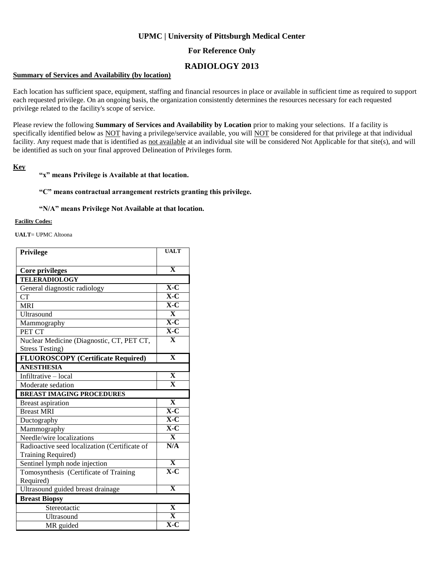### **UPMC | University of Pittsburgh Medical Center**

## **For Reference Only**

# **RADIOLOGY 2013**

### **Summary of Services and Availability (by location)**

Each location has sufficient space, equipment, staffing and financial resources in place or available in sufficient time as required to support each requested privilege. On an ongoing basis, the organization consistently determines the resources necessary for each requested privilege related to the facility's scope of service.

Please review the following **Summary of Services and Availability by Location** prior to making your selections. If a facility is specifically identified below as NOT having a privilege/service available, you will NOT be considered for that privilege at that individual facility. Any request made that is identified as not available at an individual site will be considered Not Applicable for that site(s), and will be identified as such on your final approved Delineation of Privileges form.

### **Key**

#### **"x" means Privilege is Available at that location.**

#### **"C" means contractual arrangement restricts granting this privilege.**

#### **"N/A" means Privilege Not Available at that location.**

#### **Facility Codes:**

**UALT**= UPMC Altoona

| Privilege                                     | <b>UALT</b>                                |
|-----------------------------------------------|--------------------------------------------|
|                                               |                                            |
| Core privileges                               | $\overline{\mathbf{X}}$                    |
| <b>TELERADIOLOGY</b>                          |                                            |
| General diagnostic radiology                  | $\overline{X-C}$                           |
| <b>CT</b>                                     | $\overline{X}$ -C                          |
| <b>MRI</b>                                    | $\overline{\mathbf{X}\text{-}\mathbf{C}}$  |
| Ultrasound                                    | $\mathbf{X}$                               |
| Mammography                                   | $\overline{X}$ -C                          |
| PET CT                                        | $X-C$                                      |
| Nuclear Medicine (Diagnostic, CT, PET CT,     | $\overline{\mathbf{X}}$                    |
| <b>Stress Testing)</b>                        |                                            |
| <b>FLUOROSCOPY</b> (Certificate Required)     | $\overline{\mathbf{X}}$                    |
| <b>ANESTHESIA</b>                             |                                            |
| Infiltrative - local                          | $\overline{\mathbf{X}}$                    |
| Moderate sedation                             | $\overline{\mathbf{X}}$                    |
| <b>BREAST IMAGING PROCEDURES</b>              |                                            |
|                                               |                                            |
| <b>Breast aspiration</b>                      | $\overline{\mathbf{X}}$                    |
| <b>Breast MRI</b>                             | $X-C$                                      |
| Ductography                                   | $\overline{X-C}$                           |
| Mammography                                   | $X-C$                                      |
| Needle/wire localizations                     | $\mathbf{X}$                               |
| Radioactive seed localization (Certificate of | N/A                                        |
| Training Required)                            |                                            |
| Sentinel lymph node injection                 | $\overline{\mathbf{x}}$                    |
| Tomosynthesis (Certificate of Training        | $X-C$                                      |
| Required)                                     |                                            |
| Ultrasound guided breast drainage             | $\overline{\mathbf{X}}$                    |
| <b>Breast Biopsy</b>                          |                                            |
| Stereotactic                                  | $\overline{\mathbf{X}}$                    |
| Ultrasound                                    | $\mathbf{X}$<br>$\overline{\mathbf{X}}$ -C |